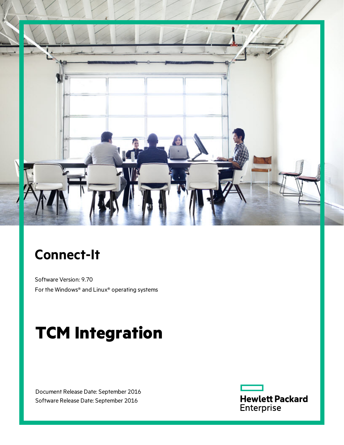

# **Connect-It**

Software Version: 9.70 For the Windows® and Linux® operating systems

# **TCM Integration**

Document Release Date: September 2016 Software Release Date: September 2016

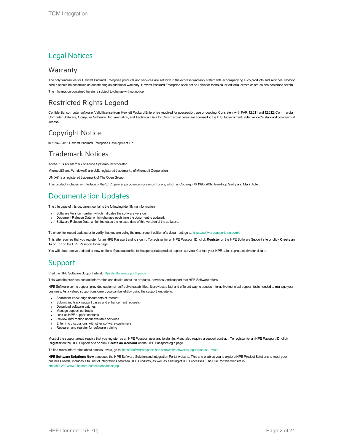#### Legal Notices

#### Warranty

The only warranties for Hewlett Packard Enterprise products and services are set forth in the express warranty statements accompanying such products and services. Nothing herein should be construed as constituting an additional warranty. Hewlett Packard Enterprise shall not be liable for technical or editorial errors or omissions contained herein. The information contained herein is subject to change without notice.

#### Restricted Rights Legend

Confidential computer software. Valid license from Hewlett Packard Enterprise required for possession, use or copying. Consistent with FAR 12.211 and 12.212, Commercial Computer Software, Computer Software Documentation, and Technical Data for Commercial Items are licensed to the U.S. Government under vendor's standard commercial license.

#### Copyright Notice

© 1994 - 2016 Hewlett Packard Enterprise Development LP

#### Trademark Notices

Adobe™ is a trademark of Adobe Systems Incorporated.

Microsoft® and Windows® are U.S. registered trademarks of Microsoft Corporation.

UNIX® is a registered trademark of The Open Group.

This product includes an interface of the 'zlib' general purpose compression library, which is Copyright © 1995-2002 Jean-loup Gailly and Mark Adler.

#### Documentation Updates

The title page of this document contains the following identifying information:

- Software Version number, which indicates the software version.
- Document Release Date, which changes each time the document is updated.
- Software Release Date, which indicates the release date of this version of the software.

To check for recent updates or to verify that you are using the most recent edition of a document, go to: <https://softwaresupport.hpe.com/>.

This site requires that you register for an HPE Passport and to sign in. To register for an HPE Passport ID, click **Register** on the HPE Software Support site or click **Create an Account** on the HPE Passport login page.

You will also receive updated or new editions if you subscribe to the appropriate product support service. Contact your HPE sales representative for details.

#### **Support**

Visit the HPE Software Support site at: [https://softwaresupport.hpe.com.](https://softwaresupport.hpe.com/)

This website provides contact information and details about the products, services, and support that HPE Software offers.

HPE Software online support provides customer self-solve capabilities. It provides a fast and efficient way to access interactive technical support tools needed to manage your business. As a valued support customer, you can benefit by using the support website to:

- Search for knowledge documents of interest
- Submit and track support cases and enhancement requests
- Download software patches
- Manage support contracts
- Look up HPE support contacts
- Review information about available services Enter into discussions with other software customers
- 
- Research and register for software training

Most of the support areas require that you register as an HPE Passport user and to sign in. Many also require a support contract. To register for an HPE Passport ID, click **Register** on the HPE Support site or click **Create an Account** on the HPE Passport login page.

To find more information about access levels, go to: <https://softwaresupport.hpe.com/web/softwaresupport/access-levels>.

**HPE Software Solutions Now** accesses the HPE Software Solution and Integration Portal website. This site enables you to explore HPE Product Solutions to meet your business needs, includes a full list of Integrations between HPE Products, as well as a listing of ITIL Processes. The URL for this website is [http://h20230.www2.hp.com/sc/solutions/index.jsp.](http://h20230.www2.hp.com/sc/solutions/index.jsp)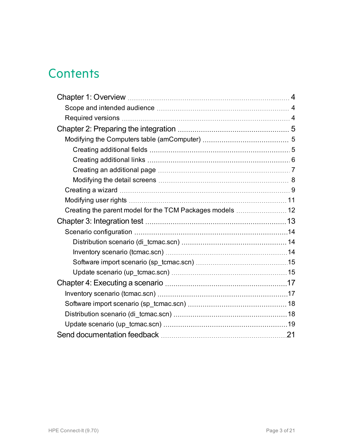# **Contents**

| Creating the parent model for the TCM Packages models  12 |  |
|-----------------------------------------------------------|--|
|                                                           |  |
|                                                           |  |
|                                                           |  |
|                                                           |  |
|                                                           |  |
|                                                           |  |
|                                                           |  |
|                                                           |  |
|                                                           |  |
|                                                           |  |
|                                                           |  |
|                                                           |  |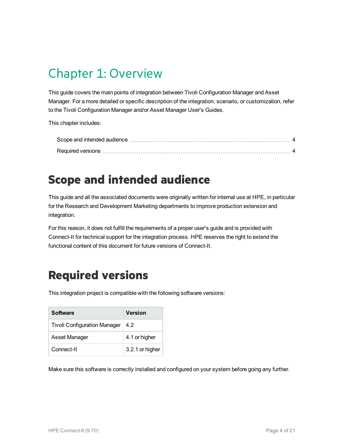# <span id="page-3-0"></span>Chapter 1: Overview

This guide covers the main points of integration between Tivoli Configuration Manager and Asset Manager. For a more detailed or specific description of the integration, scenario, or customization, refer to the Tivoli Configuration Manager and/or Asset Manager User's Guides.

This chapter includes:

| Scope and intended audience memory and the control of the state of the state of the state of the state of the |  |
|---------------------------------------------------------------------------------------------------------------|--|
|                                                                                                               |  |

### <span id="page-3-1"></span>**Scope and intended audience**

This guide and all the associated documents were originally written for internal use at HPE, in particular for the Research and Development Marketing departments to improve production extension and integration.

For this reason, it does not fulfill the requirements of a proper user's guide and is provided with Connect-It for technical support for the integration process. HPE reserves the right to extend the functional content of this document for future versions of Connect-It.

### <span id="page-3-2"></span>**Required versions**

This integration project is compatible with the following software versions:

| <b>Software</b>                     | <b>Version</b>  |
|-------------------------------------|-----------------|
| <b>Tivoli Configuration Manager</b> | 42              |
| Asset Manager                       | 4.1 or higher   |
| Connect-It                          | 3.2.1 or higher |

Make sure this software is correctly installed and configured on your system before going any further.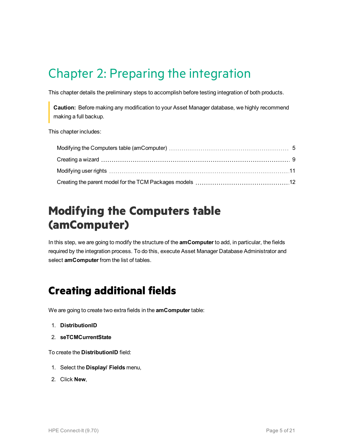# <span id="page-4-0"></span>Chapter 2: Preparing the integration

This chapter details the preliminary steps to accomplish before testing integration of both products.

**Caution:** Before making any modification to your Asset Manager database, we highly recommend making a full backup.

This chapter includes:

### <span id="page-4-1"></span>**Modifying the Computers table (amComputer)**

In this step, we are going to modify the structure of the **amComputer** to add, in particular, the fields required by the integration process. To do this, execute Asset Manager Database Administrator and select **amComputer** from the list of tables.

### <span id="page-4-2"></span>**Creating additional fields**

We are going to create two extra fields in the **amComputer** table:

- 1. **DistributionID**
- 2. **seTCMCurrentState**

To create the **DistributionID** field:

- 1. Select the **Display/ Fields** menu,
- 2. Click **New**,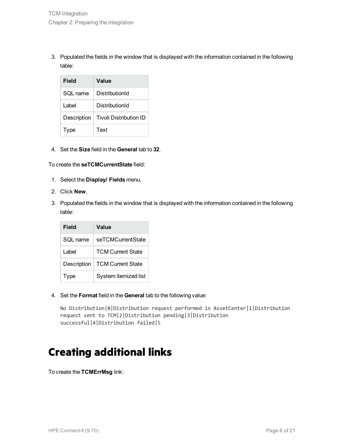3. Populated the fields in the window that is displayed with the information contained in the following table:

| Field       | Value                  |
|-------------|------------------------|
| SOL name    | DistributionId         |
| Label       | DistributionId         |
| Description | Tivoli Distribution ID |
| Type        | Text                   |

4. Set the **Size** field in the **General** tab to **32**.

To create the **seTCMCurrentState** field:

- 1. Select the **Display/ Fields** menu,
- 2. Click **New**,
- 3. Populated the fields in the window that is displayed with the information contained in the following table:

| Field       | Value                    |
|-------------|--------------------------|
| SOL name    | seTCMCurrentState        |
| Label       | <b>TCM Current State</b> |
| Description | <b>TCM Current State</b> |
| Type        | System itemized list     |

4. Set the **Format** field in the **General** tab to the following value:

No Distribution|0|Distribution request performed in AssetCenter|1|Distribution request sent to TCM|2|Distribution pending|3|Distribution successful|4|Distribution failed|5

### <span id="page-5-0"></span>**Creating additional links**

To create the **TCMErrMsg** link: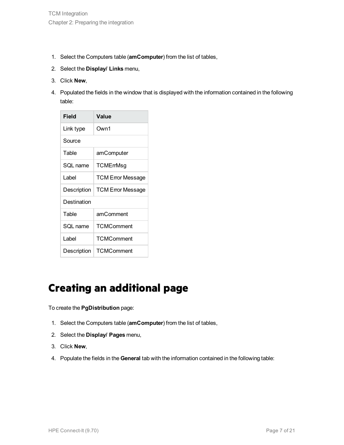- 1. Select the Computers table (**amComputer**) from the list of tables,
- 2. Select the **Display/ Links** menu,
- 3. Click **New**,
- 4. Populated the fields in the window that is displayed with the information contained in the following table:

| Field       | Value                    |  |
|-------------|--------------------------|--|
| Link type   | Own1                     |  |
| Source      |                          |  |
| Table       | amComputer               |  |
| SQL name    | TCMErrMsg                |  |
| Label       | <b>TCM Error Message</b> |  |
| Description | <b>TCM Error Message</b> |  |
| Destination |                          |  |
| Table       | amComment                |  |
| SQL name    | <b>TCMComment</b>        |  |
| Label       | <b>TCMComment</b>        |  |
| Description | <b>TCMComment</b>        |  |

### <span id="page-6-0"></span>**Creating an additional page**

To create the **PgDistribution** page:

- 1. Select the Computers table (**amComputer**) from the list of tables,
- 2. Select the **Display/ Pages** menu,
- 3. Click **New**,
- 4. Populate the fields in the **General** tab with the information contained in the following table: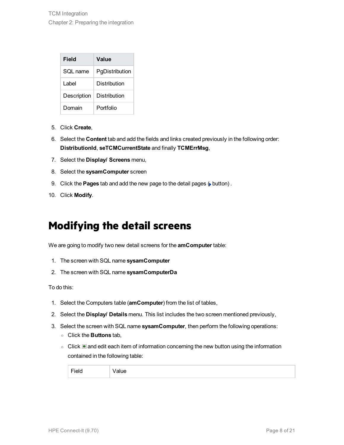| Field       | Value          |
|-------------|----------------|
| SQL name    | PgDistribution |
| I abel      | Distribution   |
| Description | Distribution   |
| Domain      | Portfolio      |

- 5. Click **Create**,
- 6. Select the **Content** tab and add the fields and links created previously in the following order: **DistributionId**, **seTCMCurrentState** and finally **TCMErrMsg**,
- 7. Select the **Display/ Screens** menu,
- 8. Select the **sysamComputer** screen
- 9. Click the **Pages** tab and add the new page to the detail pages (button).
- <span id="page-7-0"></span>10. Click **Modify**.

#### **Modifying the detail screens**

We are going to modify two new detail screens for the **amComputer** table:

- 1. The screen with SQL name **sysamComputer**
- 2. The screen with SQL name **sysamComputerDa**

To do this:

- 1. Select the Computers table (**amComputer**) from the list of tables,
- 2. Select the **Display/ Details** menu. This list includes the two screen mentioned previously,
- 3. Select the screen with SQL name **sysamComputer**, then perform the following operations:
	- <sup>o</sup> Click the **Buttons** tab,
	- $\circ$  Click **a** and edit each item of information concerning the new button using the information contained in the following table:

| $ $ Field | Value |  |  |  |
|-----------|-------|--|--|--|
|           |       |  |  |  |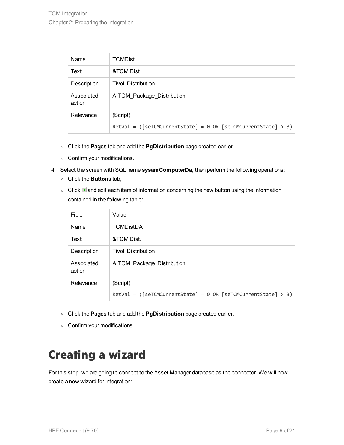| Name                 | <b>TCMDist</b>                                                  |  |
|----------------------|-----------------------------------------------------------------|--|
| Text                 | &TCM Dist.                                                      |  |
| Description          | Tivoli Distribution                                             |  |
| Associated<br>action | A:TCM Package Distribution                                      |  |
| Relevance            | (Script)                                                        |  |
|                      | $RetVal = ([setCMCurrentState] = 0 OR [setCMCurrentState] > 3)$ |  |

- <sup>o</sup> Click the **Pages** tab and add the **PgDistribution** page created earlier.
- <sup>o</sup> Confirm your modifications.
- 4. Select the screen with SQL name **sysamComputerDa**, then perform the following operations:
	- <sup>o</sup> Click the **Buttons** tab,
	- $\circ$  Click  $\blacktriangle$  and edit each item of information concerning the new button using the information contained in the following table:

| Field                | Value                                                           |
|----------------------|-----------------------------------------------------------------|
| Name                 | TCMDistDA                                                       |
| Text                 | &TCM Dist.                                                      |
| Description          | <b>Tivoli Distribution</b>                                      |
| Associated<br>action | A:TCM Package Distribution                                      |
| Relevance            | (Script)                                                        |
|                      | $RetVal = ([seTCMCurrentState] = 0 OR [seTCMCurrentState] > 3)$ |

- <sup>o</sup> Click the **Pages** tab and add the **PgDistribution** page created earlier.
- <sup>o</sup> Confirm your modifications.

### <span id="page-8-0"></span>**Creating a wizard**

For this step, we are going to connect to the Asset Manager database as the connector. We will now create a new wizard for integration: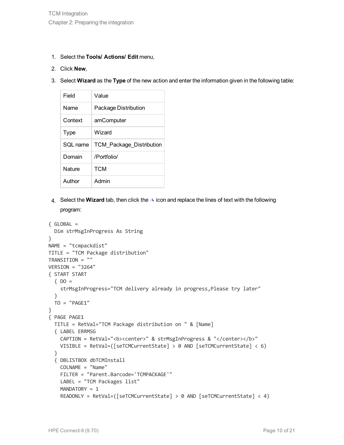- 1. Select the **Tools/ Actions/ Edit** menu,
- 2. Click **New**,
- 3. Select **Wizard** as the **Type** of the new action and enter the information given in the following table:

| Field    | Value                           |
|----------|---------------------------------|
| Name     | Package Distribution            |
| Context  | amComputer                      |
| Type     | Wizard                          |
| SOL name | <b>TCM Package Distribution</b> |
| Domain   | /Portfolio/                     |
| Nature   | <b>TCM</b>                      |
| Author   | Admin                           |

4. Select the **Wizard** tab, then click the A icon and replace the lines of text with the following program:

```
{GLOBAL =Dim strMsgInProgress As String
}
NAME = "tcmpackdist"
TITLE = "TCM Package distribution"
TRANSITION = ""
VERSION = "3264"
{ START START
  \{ DO =
    strMsgInProgress="TCM delivery already in progress,Please try later"
  }
  TO = "PAGE1"
}
{ PAGE PAGE1
 TITLE = RetVal="TCM Package distribution on " & [Name]
  { LABEL ERRMSG
    CAPTION = RetVal="<br />b><center>" & strMsgInProgress & "</center></b>"
    VISIBLE = RetVal=([seTCMCurrentState] > 0 AND [seTCMCurrentState] < 6)
  }
  { DBLISTBOX dbTCMInstall
    COLNAME = "Name"
    FILTER = "Parent.Barcode='TCMPACKAGE'"
    LABEL = "TCM Packages list"
    MANDATORY = 1
    READONLY = RetVal=([seTCMCurrentState] > 0 AND [seTCMCurrentState] < 4)
```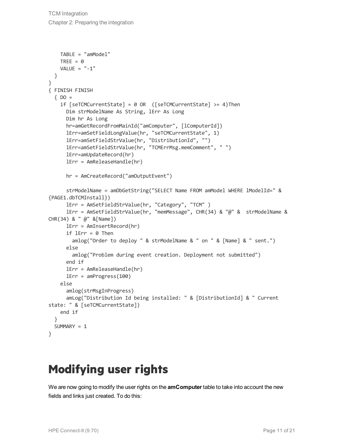```
TABLE = "amModel"
   TREE = \thetaVALUE = "-1"
  }
}
{ FINISH FINISH
  { 100 = 100}if [set/cmCurrentState] = 0 OR ([set/cmcurrentState] > = 4)Then
      Dim strModelName As String, lErr As Long
      Dim hr As Long
      hr=amGetRecordFromMainId("amComputer", [lComputerId])
      lErr=amSetFieldLongValue(hr, "seTCMCurrentState", 1)
      lErr=amSetFieldStrValue(hr, "DistributionId", "")
      lErr=amSetFieldStrValue(hr, "TCMErrMsg.memComment", " ")
      lErr=amUpdateRecord(hr)
      lErr = AmReleaseHandle(hr)
      hr = AmCreateRecord("amOutputEvent")
      strModelName = amDbGetString("SELECT Name FROM amModel WHERE lModelId=" &
{PAGE1.dbTCMInstall})
      lErr = AmSetFieldStrValue(hr, "Category", "TCM" )
      lErr = AmSetFieldStrValue(hr, "memMessage", CHR(34) & "@" & strModelName &
CHR(34) & " @" &[Name])
      lErr = AmInsertRecord(hr)
      if lErr = 0 Then
        amlog("Order to deploy " & strModelName & " on " & [Name] & " sent.")
      else
        amlog("Problem during event creation. Deployment not submitted")
      end if
      lErr = AmReleaseHandle(hr)
      lErr = amProgress(100)
    else
      amlog(strMsgInProgress)
      amLog("Distribution Id being installed: " & [DistributionId] & " Current
state: " & [seTCMCurrentState])
   end if
  }
 SUMMARY = 1
}
```
## <span id="page-10-0"></span>**Modifying user rights**

We are now going to modify the user rights on the **amComputer** table to take into account the new fields and links just created. To do this: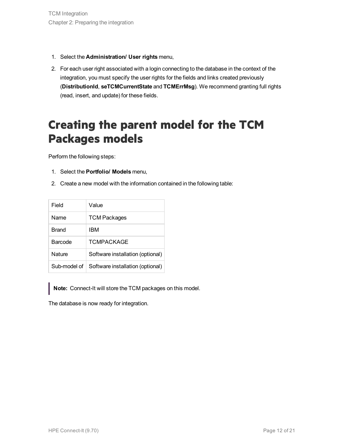- 1. Select the **Administration/ User rights** menu,
- 2. For each user right associated with a login connecting to the database in the context of the integration, you must specify the user rights for the fields and links created previously (**DistributionId**, **seTCMCurrentState** and **TCMErrMsg**). We recommend granting full rights (read, insert, and update) for these fields.

### <span id="page-11-0"></span>**Creating the parent model for the TCM Packages models**

Perform the following steps:

- 1. Select the **Portfolio/ Models** menu,
- 2. Create a new model with the information contained in the following table:

| Field        | Value                            |
|--------------|----------------------------------|
| Name         | <b>TCM Packages</b>              |
| Brand        | IBM                              |
| Barcode      | TCMPACKAGE                       |
| Nature       | Software installation (optional) |
| Sub-model of | Software installation (optional) |

**Note:** Connect-It will store the TCM packages on this model.

The database is now ready for integration.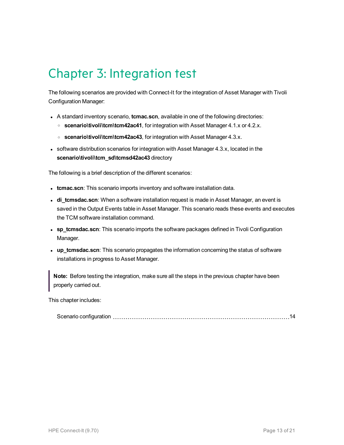# <span id="page-12-0"></span>Chapter 3: Integration test

The following scenarios are provided with Connect-It for the integration of Asset Manager with Tivoli Configuration Manager:

- **A standard inventory scenario, tcmac.scn, available in one of the following directories:** 
	- <sup>o</sup> **scenario\tivoli\tcm\tcm42ac41**, for integration with Asset Manager 4.1.x or 4.2.x.
	- <sup>o</sup> **scenario\tivoli\tcm\tcm42ac43**, for integration with Asset Manager 4.3.x.
- software distribution scenarios for integration with Asset Manager 4.3.x, located in the **scenario\tivoli\tcm\_sd\tcmsd42ac43** directory

The following is a brief description of the different scenarios:

- **tcmac.scn**: This scenario imports inventory and software installation data.
- **di\_tcmsdac.scn**: When a software installation request is made in Asset Manager, an event is saved in the Output Events table in Asset Manager. This scenario reads these events and executes the TCM software installation command.
- <sup>l</sup> **sp\_tcmsdac.scn**: This scenario imports the software packages defined in Tivoli Configuration Manager.
- **· up\_tcmsdac.scn**: This scenario propagates the information concerning the status of software installations in progress to Asset Manager.

**Note:** Before testing the integration, make sure all the steps in the previous chapter have been properly carried out.

This chapter includes:

|--|--|--|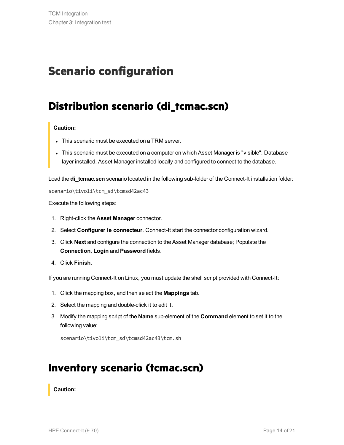### <span id="page-13-1"></span><span id="page-13-0"></span>**Scenario configuration**

### **Distribution scenario (di\_tcmac.scn)**

#### **Caution:**

- This scenario must be executed on a TRM server.
- This scenario must be executed on a computer on which Asset Manager is "visible": Database layer installed, Asset Manager installed locally and configured to connect to the database.

Load the **di\_tcmac.scn** scenario located in the following sub-folder of the Connect-It installation folder:

```
scenario\tivoli\tcm sd\tcmsd42ac43
```
Execute the following steps:

- 1. Right-click the **Asset Manager** connector.
- 2. Select **Configurer le connecteur**. Connect-It start the connector configuration wizard.
- 3. Click **Next** and configure the connection to the Asset Manager database; Populate the **Connection**, **Login** and **Password** fields.
- 4. Click **Finish**.

If you are running Connect-It on Linux, you must update the shell script provided with Connect-It:

- 1. Click the mapping box, and then select the **Mappings** tab.
- 2. Select the mapping and double-click it to edit it.
- 3. Modify the mapping script of the **Name** sub-element of the **Command** element to set it to the following value:

```
scenario\tivoli\tcm sd\tcmsd42ac43\tcm.sh
```
#### **Inventory scenario (tcmac.scn)**

#### **Caution:**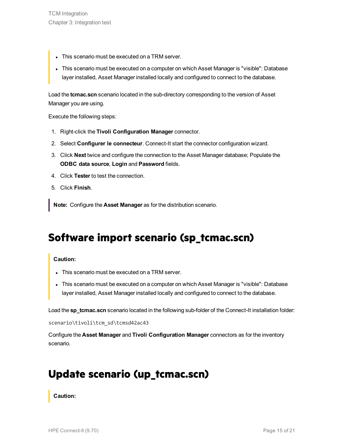- This scenario must be executed on a TRM server.
- This scenario must be executed on a computer on which Asset Manager is "visible": Database layer installed, Asset Manager installed locally and configured to connect to the database.

Load the **tcmac.scn** scenario located in the sub-directory corresponding to the version of Asset Manager you are using.

Execute the following steps:

- 1. Right-click the **Tivoli Configuration Manager** connector.
- 2. Select **Configurer le connecteur**. Connect-It start the connector configuration wizard.
- 3. Click **Next** twice and configure the connection to the Asset Manager database; Populate the **ODBC data source**, **Login** and **Password** fields.
- 4. Click **Tester** to test the connection.
- 5. Click **Finish**.

<span id="page-14-0"></span>**Note:** Configure the **Asset Manager** as for the distribution scenario.

#### **Software import scenario (sp\_tcmac.scn)**

#### **Caution:**

- This scenario must be executed on a TRM server.
- This scenario must be executed on a computer on which Asset Manager is "visible": Database layer installed, Asset Manager installed locally and configured to connect to the database.

Load the **sp\_tcmac.scn** scenario located in the following sub-folder of the Connect-It installation folder:

scenario\tivoli\tcm sd\tcmsd42ac43

<span id="page-14-1"></span>Configure the **Asset Manager** and **Tivoli Configuration Manager** connectors as for the inventory scenario.

### **Update scenario (up\_tcmac.scn)**

#### **Caution:**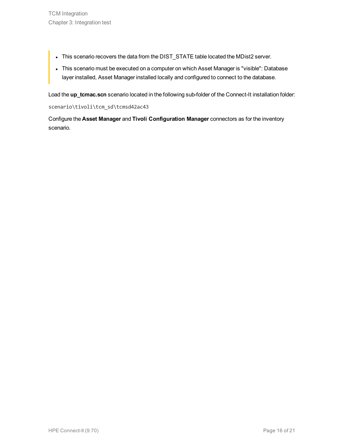- This scenario recovers the data from the DIST\_STATE table located the MDist2 server.
- This scenario must be executed on a computer on which Asset Manager is "visible": Database layer installed, Asset Manager installed locally and configured to connect to the database.

Load the **up\_tcmac.scn** scenario located in the following sub-folder of the Connect-It installation folder:

#### scenario\tivoli\tcm\_sd\tcmsd42ac43

Configure the **Asset Manager** and **Tivoli Configuration Manager** connectors as for the inventory scenario.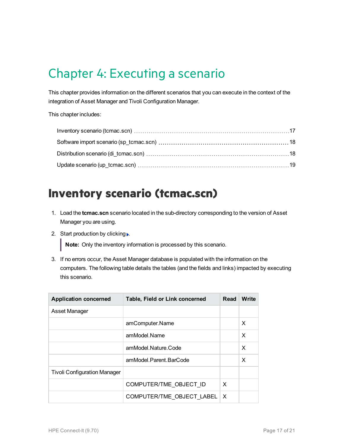# <span id="page-16-0"></span>Chapter 4: Executing a scenario

This chapter provides information on the different scenarios that you can execute in the context of the integration of Asset Manager and Tivoli Configuration Manager.

This chapter includes:

#### <span id="page-16-1"></span>**Inventory scenario (tcmac.scn)**

- 1. Load the **tcmac.scn** scenario located in the sub-directory corresponding to the version of Asset Manager you are using.
- 2. Start production by clicking  $\blacktriangleright$ .

**Note:** Only the inventory information is processed by this scenario.

3. If no errors occur, the Asset Manager database is populated with the information on the computers. The following table details the tables (and the fields and links) impacted by executing this scenario.

| <b>Application concerned</b>        | Table, Field or Link concerned | Read | Write |
|-------------------------------------|--------------------------------|------|-------|
| Asset Manager                       |                                |      |       |
|                                     | amComputer.Name                |      | X     |
|                                     | amModel.Name                   |      | X     |
|                                     | amModel.Nature.Code            |      | X     |
|                                     | amModel.Parent.BarCode         |      | X     |
| <b>Tivoli Configuration Manager</b> |                                |      |       |
|                                     | COMPUTER/TME OBJECT ID         | X    |       |
|                                     | COMPUTER/TME OBJECT LABEL      | X    |       |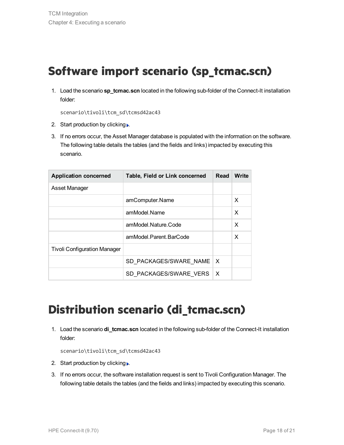### <span id="page-17-0"></span>**Software import scenario (sp\_tcmac.scn)**

1. Load the scenario **sp\_tcmac.scn** located in the following sub-folder of the Connect-It installation folder:

scenario\tivoli\tcm sd\tcmsd42ac43

- 2. Start production by clicking  $\blacktriangleright$ .
- 3. If no errors occur, the Asset Manager database is populated with the information on the software. The following table details the tables (and the fields and links) impacted by executing this scenario.

| <b>Application concerned</b>        | Table, Field or Link concerned | Read | Write |
|-------------------------------------|--------------------------------|------|-------|
| <b>Asset Manager</b>                |                                |      |       |
|                                     | amComputer.Name                |      | X     |
|                                     | amModel.Name                   |      | X     |
|                                     | amModel.Nature.Code            |      | X     |
|                                     | amModel.Parent.BarCode         |      | X     |
| <b>Tivoli Configuration Manager</b> |                                |      |       |
|                                     | SD PACKAGES/SWARE NAME         | X    |       |
|                                     | SD PACKAGES/SWARE VERS         | X    |       |

### <span id="page-17-1"></span>**Distribution scenario (di\_tcmac.scn)**

1. Load the scenario **di\_tcmac.scn** located in the following sub-folder of the Connect-It installation folder:

scenario\tivoli\tcm sd\tcmsd42ac43

- 2. Start production by clicking  $\blacktriangleright$ .
- 3. If no errors occur, the software installation request is sent to Tivoli Configuration Manager. The following table details the tables (and the fields and links) impacted by executing this scenario.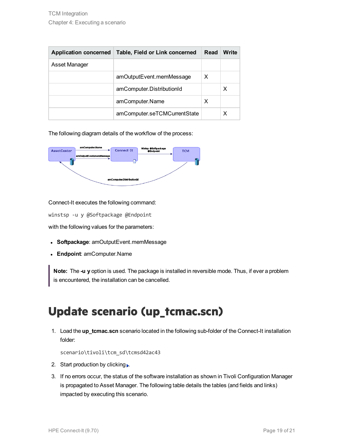| <b>Application concerned</b> | Table, Field or Link concerned | Read     | Write |
|------------------------------|--------------------------------|----------|-------|
| <b>Asset Manager</b>         |                                |          |       |
|                              | amOutputEvent.memMessage       | $\times$ |       |
|                              | amComputer.DistributionId      |          | X     |
|                              | amComputer.Name                | X        |       |
|                              | amComputer.seTCMCurrentState   |          | х     |

The following diagram details of the workflow of the process:



Connect-It executes the following command:

winstsp -u y @Softpackage @Endpoint

with the following values for the parameters:

- **Softpackage**: amOutputEvent.memMessage
- <sup>l</sup> **Endpoint**: amComputer.Name

**Note:** The **-u y** option is used. The package is installed in reversible mode. Thus, if ever a problem is encountered, the installation can be cancelled.

### <span id="page-18-0"></span>**Update scenario (up\_tcmac.scn)**

1. Load the **up\_tcmac.scn** scenario located in the following sub-folder of the Connect-It installation folder:

scenario\tivoli\tcm sd\tcmsd42ac43

- 2. Start production by clicking  $\blacktriangleright$ .
- 3. If no errors occur, the status of the software installation as shown in Tivoli Configuration Manager is propagated to Asset Manager. The following table details the tables (and fields and links) impacted by executing this scenario.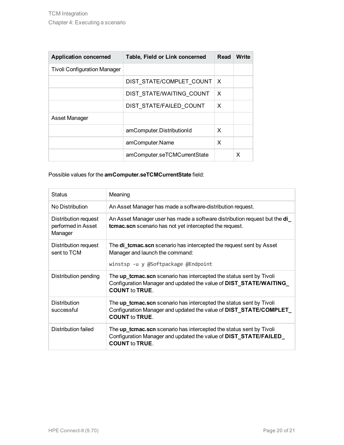| <b>Application concerned</b>        | Table, Field or Link concerned | Read                      | Write |
|-------------------------------------|--------------------------------|---------------------------|-------|
| <b>Tivoli Configuration Manager</b> |                                |                           |       |
|                                     | DIST STATE/COMPLET COUNT       | X                         |       |
|                                     | DIST STATE/WAITING COUNT       | $\boldsymbol{\mathsf{x}}$ |       |
|                                     | DIST STATE/FAILED COUNT        | $\times$                  |       |
| Asset Manager                       |                                |                           |       |
|                                     | amComputer.DistributionId      | $\boldsymbol{\mathsf{x}}$ |       |
|                                     | amComputer.Name                | X                         |       |
|                                     | amComputer.seTCMCurrentState   |                           | X     |

Possible values for the **amComputer.seTCMCurrentState** field:

| <b>Status</b>                                         | Meaning                                                                                                                                                            |
|-------------------------------------------------------|--------------------------------------------------------------------------------------------------------------------------------------------------------------------|
| No Distribution                                       | An Asset Manager has made a software-distribution request.                                                                                                         |
| Distribution request<br>performed in Asset<br>Manager | An Asset Manager user has made a software distribution request but the <b>di</b><br><b>temac.scn</b> scenario has not yet intercepted the request.                 |
| Distribution request<br>sent to TCM                   | The <b>di_tcmac.scn</b> scenario has intercepted the request sent by Asset<br>Manager and launch the command:<br>winstsp -u y @Softpackage @Endpoint               |
| Distribution pending                                  | The up_tcmac.scn scenario has intercepted the status sent by Tivoli<br>Configuration Manager and updated the value of DIST_STATE/WAITING_<br><b>COUNT to TRUE.</b> |
| Distribution<br>successful                            | The up_tcmac.scn scenario has intercepted the status sent by Tivoli<br>Configuration Manager and updated the value of DIST_STATE/COMPLET_<br><b>COUNT to TRUE.</b> |
| Distribution failed                                   | The up_tcmac.scn scenario has intercepted the status sent by Tivoli<br>Configuration Manager and updated the value of DIST_STATE/FAILED_<br><b>COUNT to TRUE.</b>  |